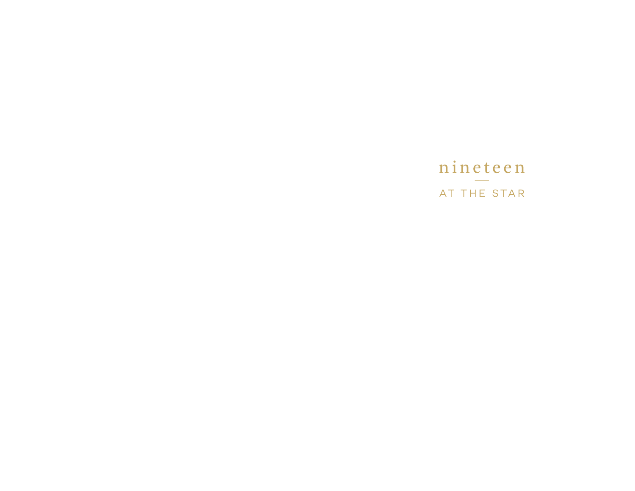## nineteen AT THE STAR